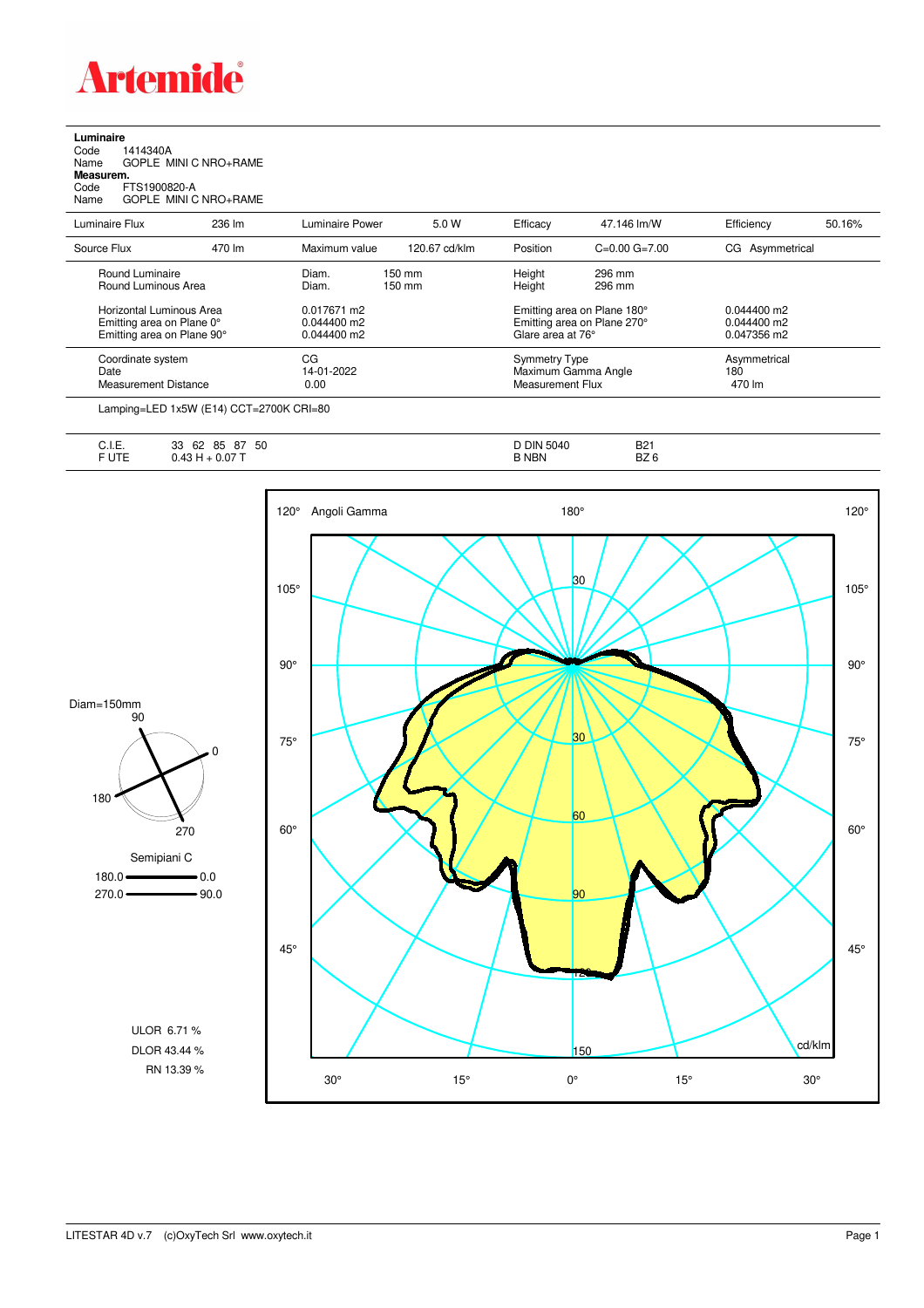

**Luminaire**<br>Code 1<br>Name ( Code 1414340A Name GOPLE MINI C NRO+RAME **Measurem.** Code FTS1900820-A Name GOPLE MINI C NRO+RAME

| Luminaire Flux                                                                      | 236 lm | Luminaire Power                               | 5.0 W            | Efficacy         | 47.146 lm/W                                                                     | Efficiency                                    | 50.16%                        |  |
|-------------------------------------------------------------------------------------|--------|-----------------------------------------------|------------------|------------------|---------------------------------------------------------------------------------|-----------------------------------------------|-------------------------------|--|
| Source Flux                                                                         | 470 lm | Maximum value                                 | 120.67 cd/klm    | Position         | $C=0.00$ $G=7.00$                                                               | CG Asymmetrical                               |                               |  |
| Round Luminaire<br>Round Luminous Area                                              |        | Diam.<br>Diam.                                | 150 mm<br>150 mm | Height<br>Height | 296 mm<br>296 mm                                                                |                                               |                               |  |
| Horizontal Luminous Area<br>Emitting area on Plane 0°<br>Emitting area on Plane 90° |        | 0.017671 m2<br>$0.044400$ m2<br>$0.044400$ m2 |                  |                  | Emitting area on Plane 180°<br>Emitting area on Plane 270°<br>Glare area at 76° | $0.044400$ m2<br>$0.044400$ m2<br>0.047356 m2 |                               |  |
| Coordinate system<br>Date<br>Measurement Distance                                   |        | CG<br>14-01-2022<br>0.00                      |                  |                  | <b>Symmetry Type</b><br>Maximum Gamma Angle<br>Measurement Flux                 |                                               | Asymmetrical<br>180<br>470 lm |  |

Lamping=LED 1x5W (E14) CCT=2700K CRI=80

| $\cdot$ $\cdot$ $\sim$<br>-<br>◡.୲.∟. | 50<br>33<br>62<br>85<br>87   | DIN<br>5040<br>◡ | D <sub>04</sub><br>DZ I |
|---------------------------------------|------------------------------|------------------|-------------------------|
| $\cdots$<br>- -                       | $\sim$ $\sim$ $\sim$<br>0.07 | <b>NBN</b>       | DZC<br>DZ.<br>ັ         |